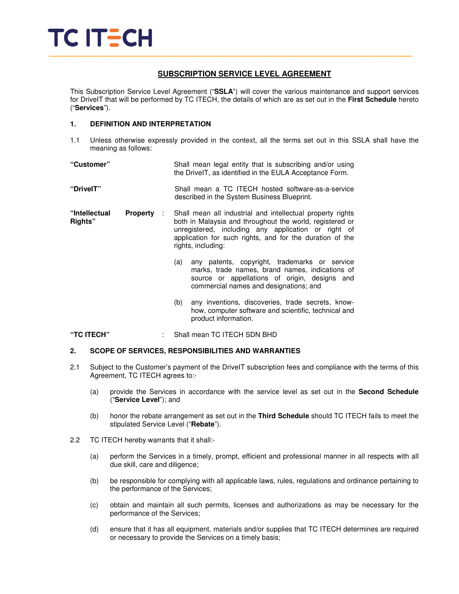

#### **SUBSCRIPTION SERVICE LEVEL AGREEMENT**

This Subscription Service Level Agreement ("**SSLA**") will cover the various maintenance and support services for DriveIT that will be performed by TC ITECH, the details of which are as set out in the **First Schedule** hereto ("**Services**").

#### **1. DEFINITION AND INTERPRETATION**

1.1 Unless otherwise expressly provided in the context, all the terms set out in this SSLA shall have the meaning as follows:

| "Customer"               |                        | Shall mean legal entity that is subscribing and/or using<br>the DrivelT, as identified in the EULA Acceptance Form.                                                                                                                                             |  |
|--------------------------|------------------------|-----------------------------------------------------------------------------------------------------------------------------------------------------------------------------------------------------------------------------------------------------------------|--|
| "DrivelT"                |                        | Shall mean a TC ITECH hosted software-as-a-service<br>described in the System Business Blueprint.                                                                                                                                                               |  |
| "Intellectual<br>Rights" | <b>Property</b><br>-11 | Shall mean all industrial and intellectual property rights<br>both in Malaysia and throughout the world, registered or<br>unregistered, including any application or right of<br>application for such rights, and for the duration of the<br>rights, including: |  |
|                          |                        | any patents, copyright, trademarks or service<br>(a)<br>marks, trade names, brand names, indications of<br>source or appellations of origin, designs and<br>commercial names and designations; and                                                              |  |
|                          |                        | any inventions, discoveries, trade secrets, know-<br>(b)<br>how, computer software and scientific, technical and<br>product information.                                                                                                                        |  |

**"TC ITECH"** : Shall mean TC ITECH SDN BHD

#### **2. SCOPE OF SERVICES, RESPONSIBILITIES AND WARRANTIES**

- 2.1 Subject to the Customer's payment of the DriveIT subscription fees and compliance with the terms of this Agreement, TC ITECH agrees to:-
	- (a) provide the Services in accordance with the service level as set out in the **Second Schedule** ("**Service Level**"); and
	- (b) honor the rebate arrangement as set out in the **Third Schedule** should TC ITECH fails to meet the stipulated Service Level ("**Rebate**").
- 2.2 TC ITECH hereby warrants that it shall:-
	- (a) perform the Services in a timely, prompt, efficient and professional manner in all respects with all due skill, care and diligence;
	- (b) be responsible for complying with all applicable laws, rules, regulations and ordinance pertaining to the performance of the Services;
	- (c) obtain and maintain all such permits, licenses and authorizations as may be necessary for the performance of the Services;
	- (d) ensure that it has all equipment, materials and/or supplies that TC ITECH determines are required or necessary to provide the Services on a timely basis;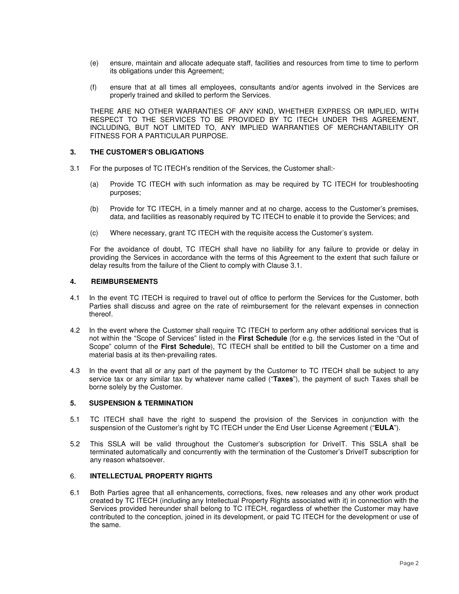- (e) ensure, maintain and allocate adequate staff, facilities and resources from time to time to perform its obligations under this Agreement;
- (f) ensure that at all times all employees, consultants and/or agents involved in the Services are properly trained and skilled to perform the Services.

 THERE ARE NO OTHER WARRANTIES OF ANY KIND, WHETHER EXPRESS OR IMPLIED, WITH RESPECT TO THE SERVICES TO BE PROVIDED BY TC ITECH UNDER THIS AGREEMENT, INCLUDING, BUT NOT LIMITED TO, ANY IMPLIED WARRANTIES OF MERCHANTABILITY OR FITNESS FOR A PARTICULAR PURPOSE.

#### **3. THE CUSTOMER'S OBLIGATIONS**

- 3.1 For the purposes of TC ITECH's rendition of the Services, the Customer shall:-
	- (a) Provide TC ITECH with such information as may be required by TC ITECH for troubleshooting purposes;
	- (b) Provide for TC ITECH, in a timely manner and at no charge, access to the Customer's premises, data, and facilities as reasonably required by TC ITECH to enable it to provide the Services; and
	- (c) Where necessary, grant TC ITECH with the requisite access the Customer's system.

For the avoidance of doubt, TC ITECH shall have no liability for any failure to provide or delay in providing the Services in accordance with the terms of this Agreement to the extent that such failure or delay results from the failure of the Client to comply with Clause 3.1.

#### **4. REIMBURSEMENTS**

- 4.1 In the event TC ITECH is required to travel out of office to perform the Services for the Customer, both Parties shall discuss and agree on the rate of reimbursement for the relevant expenses in connection thereof.
- 4.2 In the event where the Customer shall require TC ITECH to perform any other additional services that is not within the "Scope of Services" listed in the **First Schedule** (for e.g. the services listed in the "Out of Scope" column of the **First Schedule**), TC ITECH shall be entitled to bill the Customer on a time and material basis at its then-prevailing rates.
- 4.3 In the event that all or any part of the payment by the Customer to TC ITECH shall be subject to any service tax or any similar tax by whatever name called ("**Taxes**"), the payment of such Taxes shall be borne solely by the Customer.

#### **5. SUSPENSION & TERMINATION**

- 5.1 TC ITECH shall have the right to suspend the provision of the Services in conjunction with the suspension of the Customer's right by TC ITECH under the End User License Agreement ("**EULA**").
- 5.2 This SSLA will be valid throughout the Customer's subscription for DriveIT. This SSLA shall be terminated automatically and concurrently with the termination of the Customer's DriveIT subscription for any reason whatsoever.

#### 6. **INTELLECTUAL PROPERTY RIGHTS**

6.1 Both Parties agree that all enhancements, corrections, fixes, new releases and any other work product created by TC ITECH (including any Intellectual Property Rights associated with it) in connection with the Services provided hereunder shall belong to TC ITECH, regardless of whether the Customer may have contributed to the conception, joined in its development, or paid TC ITECH for the development or use of the same.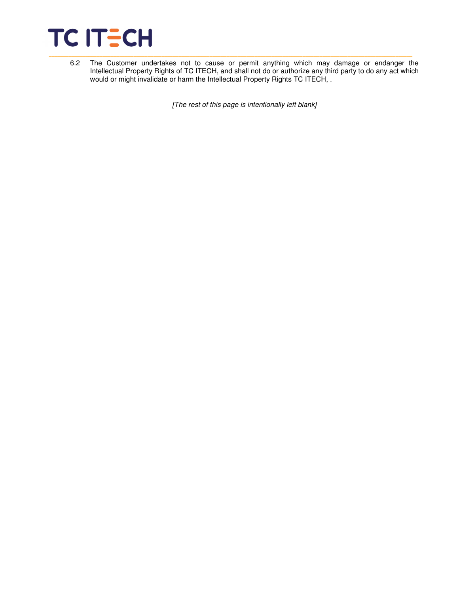

6.2 The Customer undertakes not to cause or permit anything which may damage or endanger the Intellectual Property Rights of TC ITECH, and shall not do or authorize any third party to do any act which would or might invalidate or harm the Intellectual Property Rights TC ITECH, .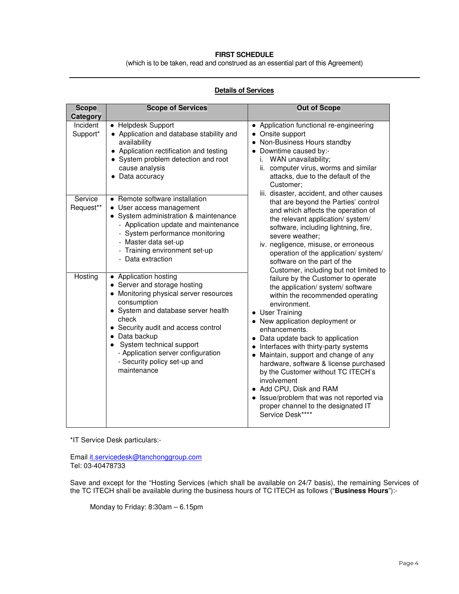#### **FIRST SCHEDULE**

(which is to be taken, read and construed as an essential part of this Agreement)

#### **Details of Services**

| <b>Scope</b><br>Category | <b>Scope of Services</b>                                                                                                                                                                                                                                                                                                                | <b>Out of Scope</b>                                                                                                                                                                                                                                                                                                                                                                                                                                                                                                                                          |  |
|--------------------------|-----------------------------------------------------------------------------------------------------------------------------------------------------------------------------------------------------------------------------------------------------------------------------------------------------------------------------------------|--------------------------------------------------------------------------------------------------------------------------------------------------------------------------------------------------------------------------------------------------------------------------------------------------------------------------------------------------------------------------------------------------------------------------------------------------------------------------------------------------------------------------------------------------------------|--|
| Incident<br>Support*     | • Helpdesk Support<br>• Application and database stability and<br>availability<br>• Application rectification and testing<br>System problem detection and root<br>cause analysis<br>• Data accuracy                                                                                                                                     | • Application functional re-engineering<br>• Onsite support<br>• Non-Business Hours standby<br>• Downtime caused by:-<br>WAN unavailability;<br>i.<br>ii. computer virus, worms and similar<br>attacks, due to the default of the<br>Customer:<br>iii. disaster, accident, and other causes                                                                                                                                                                                                                                                                  |  |
| Service<br>Request**     | • Remote software installation<br>• User access management<br>• System administration & maintenance<br>- Application update and maintenance<br>- System performance monitoring<br>- Master data set-up<br>- Training environment set-up<br>- Data extraction                                                                            | that are beyond the Parties' control<br>and which affects the operation of<br>the relevant application/ system/<br>software, including lightning, fire,<br>severe weather;<br>iv. negligence, misuse, or erroneous<br>operation of the application/system/<br>software on the part of the<br>Customer, including but not limited to                                                                                                                                                                                                                          |  |
| Hosting                  | • Application hosting<br>• Server and storage hosting<br>• Monitoring physical server resources<br>consumption<br>• System and database server health<br>check<br>• Security audit and access control<br>• Data backup<br>System technical support<br>- Application server configuration<br>- Security policy set-up and<br>maintenance | failure by the Customer to operate<br>the application/ system/ software<br>within the recommended operating<br>environment.<br>• User Training<br>• New application deployment or<br>enhancements.<br>• Data update back to application<br>• Interfaces with thirty-party systems<br>• Maintain, support and change of any<br>hardware, software & license purchased<br>by the Customer without TC ITECH's<br>involvement<br>• Add CPU, Disk and RAM<br>• Issue/problem that was not reported via<br>proper channel to the designated IT<br>Service Desk**** |  |

\*IT Service Desk particulars:-

Email it.servicedesk@tanchonggroup.com Tel: 03-40478733

Save and except for the "Hosting Services (which shall be available on 24/7 basis), the remaining Services of the TC ITECH shall be available during the business hours of TC ITECH as follows ("**Business Hours**"):-

Monday to Friday: 8:30am – 6.15pm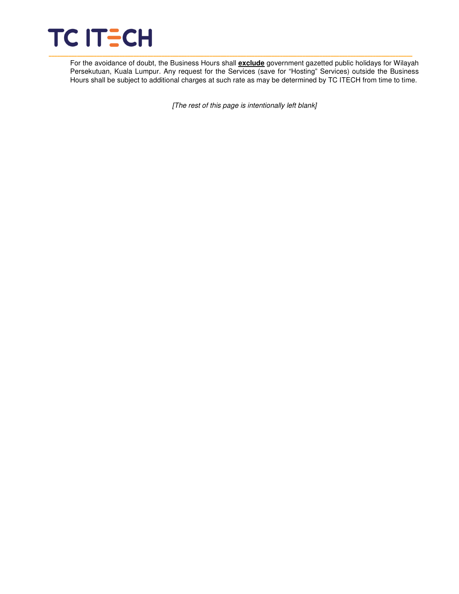

For the avoidance of doubt, the Business Hours shall **exclude** government gazetted public holidays for Wilayah Persekutuan, Kuala Lumpur. Any request for the Services (save for "Hosting" Services) outside the Business Hours shall be subject to additional charges at such rate as may be determined by TC ITECH from time to time.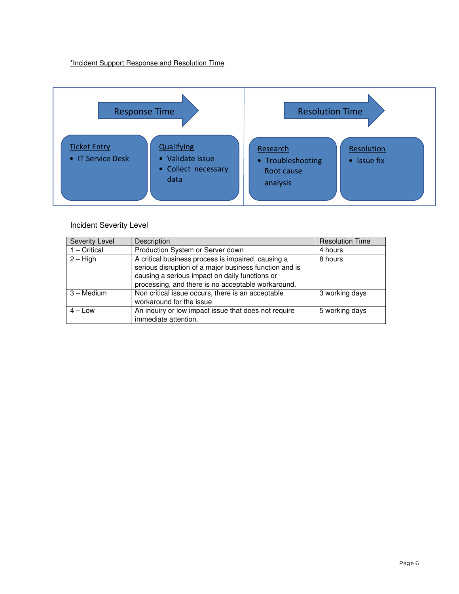\*Incident Support Response and Resolution Time



## Incident Severity Level

| Severity Level | Description                                                                                                                                                               | <b>Resolution Time</b> |
|----------------|---------------------------------------------------------------------------------------------------------------------------------------------------------------------------|------------------------|
| $1 -$ Critical | Production System or Server down<br>4 hours                                                                                                                               |                        |
| $2 - High$     | A critical business process is impaired, causing a<br>8 hours<br>serious disruption of a major business function and is<br>causing a serious impact on daily functions or |                        |
|                | processing, and there is no acceptable workaround.                                                                                                                        |                        |
| 3 - Medium     | Non critical issue occurs, there is an acceptable<br>3 working days<br>workaround for the issue                                                                           |                        |
| $4 - Low$      | An inquiry or low impact issue that does not require<br>immediate attention.                                                                                              | 5 working days         |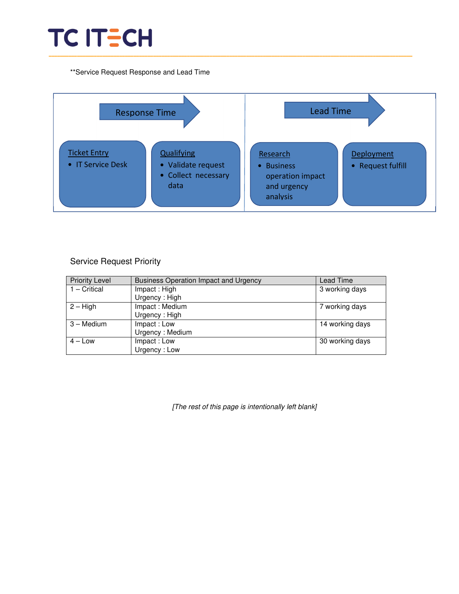# TC ITECH \_\_\_\_\_\_\_\_\_\_\_\_\_\_\_\_\_\_\_\_\_\_\_\_\_\_\_\_\_\_\_\_\_\_\_\_\_\_\_\_\_\_\_\_\_\_\_\_\_\_\_\_\_\_\_\_\_\_\_\_\_\_\_\_\_\_\_\_\_\_\_\_\_\_\_\_\_\_\_\_\_\_\_\_\_\_\_\_\_\_\_\_\_\_\_\_\_\_\_\_\_\_\_\_\_\_\_\_\_\_\_\_\_\_\_\_\_\_\_\_\_\_\_\_\_\_\_\_\_

\*\*Service Request Response and Lead Time



# Service Request Priority

| <b>Priority Level</b> | <b>Business Operation Impact and Urgency</b> | Lead Time       |
|-----------------------|----------------------------------------------|-----------------|
| $1 -$ Critical        | Impact: High                                 | 3 working days  |
|                       | Urgency: High                                |                 |
| $2 - High$            | Impact: Medium                               | 7 working days  |
|                       | Urgency: High                                |                 |
| 3 – Medium            | Impact: Low                                  | 14 working days |
|                       | Urgency: Medium                              |                 |
| $4 - Low$             | Impact: Low                                  | 30 working days |
|                       | Urgency: Low                                 |                 |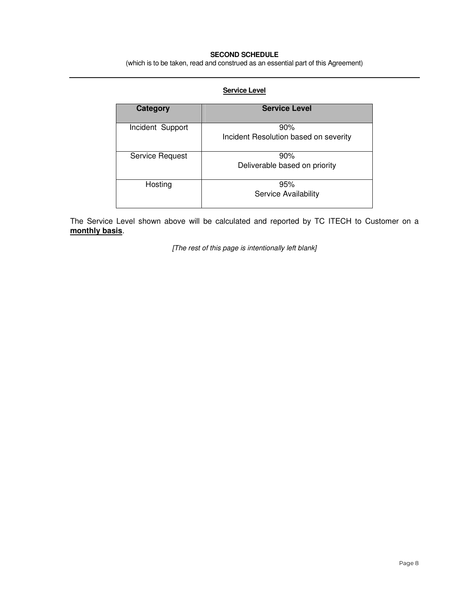#### **SECOND SCHEDULE**

(which is to be taken, read and construed as an essential part of this Agreement)

### **Service Level**

| Category         | <b>Service Level</b>                         |
|------------------|----------------------------------------------|
| Incident Support | 90%<br>Incident Resolution based on severity |
| Service Request  | 90%<br>Deliverable based on priority         |
| Hosting          | 95%<br>Service Availability                  |

The Service Level shown above will be calculated and reported by TC ITECH to Customer on a **monthly basis**.